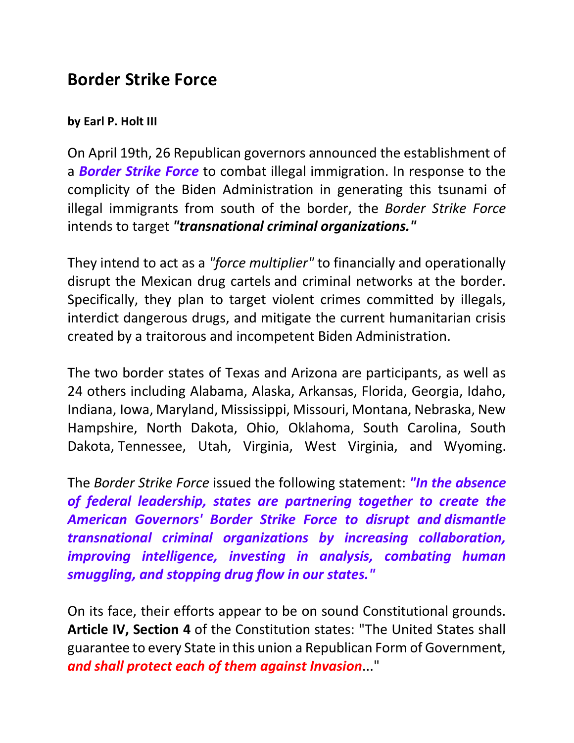## **Border Strike Force**

## **by Earl P. Holt III**

On April 19th, 26 Republican governors announced the establishment of a *Border Strike Force* to combat illegal immigration. In response to the complicity of the Biden Administration in generating this tsunami of illegal immigrants from south of the border, the *Border Strike Force* intends to target *"transnational criminal organizations."*

They intend to act as a *"force multiplier"* to financially and operationally disrupt the Mexican drug cartels and criminal networks at the border. Specifically, they plan to target violent crimes committed by illegals, interdict dangerous drugs, and mitigate the current humanitarian crisis created by a traitorous and incompetent Biden Administration.

The two border states of Texas and Arizona are participants, as well as 24 others including Alabama, Alaska, Arkansas, Florida, Georgia, Idaho, Indiana, Iowa, Maryland, Mississippi, Missouri, Montana, Nebraska, New Hampshire, North Dakota, Ohio, Oklahoma, South Carolina, South Dakota, Tennessee, Utah, Virginia, West Virginia, and Wyoming.

The *Border Strike Force* issued the following statement: *"In the absence of federal leadership, states are partnering together to create the American Governors' Border Strike Force to disrupt and dismantle transnational criminal organizations by increasing collaboration, improving intelligence, investing in analysis, combating human smuggling, and stopping drug flow in our states."* 

On its face, their efforts appear to be on sound Constitutional grounds. **Article IV, Section 4** of the Constitution states: "The United States shall guarantee to every State in this union a Republican Form of Government, *and shall protect each of them against Invasion*..."